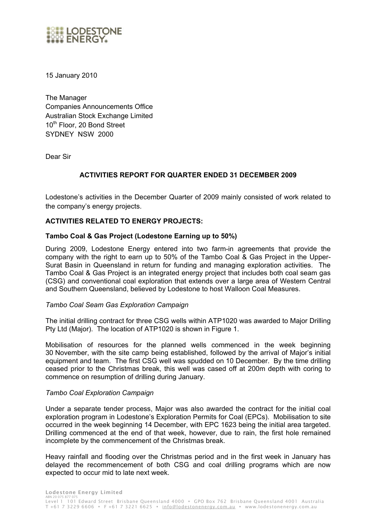

15 January 2010

The Manager Companies Announcements Office Australian Stock Exchange Limited 10<sup>th</sup> Floor, 20 Bond Street SYDNEY NSW 2000

Dear Sir

# **ACTIVITIES REPORT FOR QUARTER ENDED 31 DECEMBER 2009**

Lodestone's activities in the December Quarter of 2009 mainly consisted of work related to the company's energy projects.

## **ACTIVITIES RELATED TO ENERGY PROJECTS:**

### **Tambo Coal & Gas Project (Lodestone Earning up to 50%)**

During 2009, Lodestone Energy entered into two farm-in agreements that provide the company with the right to earn up to 50% of the Tambo Coal & Gas Project in the Upper-Surat Basin in Queensland in return for funding and managing exploration activities. The Tambo Coal & Gas Project is an integrated energy project that includes both coal seam gas (CSG) and conventional coal exploration that extends over a large area of Western Central and Southern Queensland, believed by Lodestone to host Walloon Coal Measures.

#### *Tambo Coal Seam Gas Exploration Campaign*

The initial drilling contract for three CSG wells within ATP1020 was awarded to Major Drilling Pty Ltd (Major). The location of ATP1020 is shown in Figure 1.

Mobilisation of resources for the planned wells commenced in the week beginning 30 November, with the site camp being established, followed by the arrival of Major's initial equipment and team. The first CSG well was spudded on 10 December. By the time drilling ceased prior to the Christmas break, this well was cased off at 200m depth with coring to commence on resumption of drilling during January.

#### *Tambo Coal Exploration Campaign*

Under a separate tender process, Major was also awarded the contract for the initial coal exploration program in Lodestone's Exploration Permits for Coal (EPCs). Mobilisation to site occurred in the week beginning 14 December, with EPC 1623 being the initial area targeted. Drilling commenced at the end of that week, however, due to rain, the first hole remained incomplete by the commencement of the Christmas break.

Heavy rainfall and flooding over the Christmas period and in the first week in January has delayed the recommencement of both CSG and coal drilling programs which are now expected to occur mid to late next week.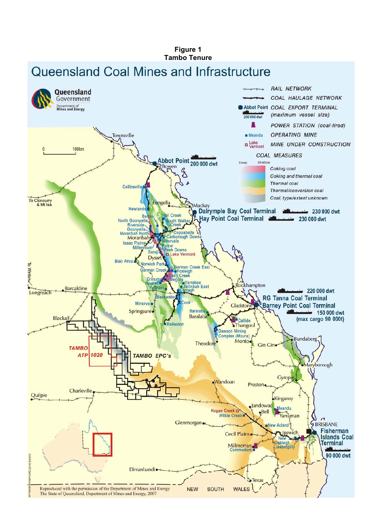# Figure 1 **Tambo Tenure** Queensland Coal Mines and Infrastructure

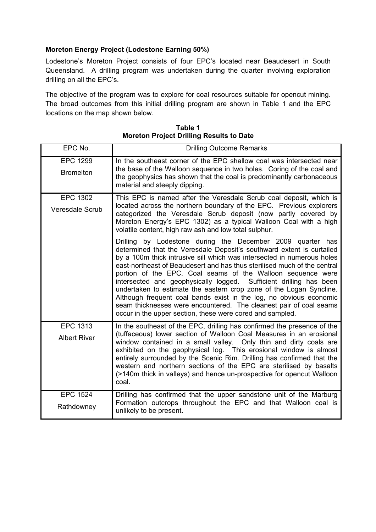# **Moreton Energy Project (Lodestone Earning 50%)**

Lodestone's Moreton Project consists of four EPC's located near Beaudesert in South Queensland. A drilling program was undertaken during the quarter involving exploration drilling on all the EPC's.

The objective of the program was to explore for coal resources suitable for opencut mining. The broad outcomes from this initial drilling program are shown in Table 1 and the EPC locations on the map shown below.

| EPC No.                                   | <b>Drilling Outcome Remarks</b>                                                                                                                                                                                                                                                                                                                                                                                                                                                                                                                                                                                                                                                                                                                                                                                                                                                                                                                                                                                                                            |
|-------------------------------------------|------------------------------------------------------------------------------------------------------------------------------------------------------------------------------------------------------------------------------------------------------------------------------------------------------------------------------------------------------------------------------------------------------------------------------------------------------------------------------------------------------------------------------------------------------------------------------------------------------------------------------------------------------------------------------------------------------------------------------------------------------------------------------------------------------------------------------------------------------------------------------------------------------------------------------------------------------------------------------------------------------------------------------------------------------------|
| <b>EPC 1299</b><br><b>Bromelton</b>       | In the southeast corner of the EPC shallow coal was intersected near<br>the base of the Walloon sequence in two holes. Coring of the coal and<br>the geophysics has shown that the coal is predominantly carbonaceous<br>material and steeply dipping.                                                                                                                                                                                                                                                                                                                                                                                                                                                                                                                                                                                                                                                                                                                                                                                                     |
| <b>EPC 1302</b><br><b>Veresdale Scrub</b> | This EPC is named after the Veresdale Scrub coal deposit, which is<br>located across the northern boundary of the EPC. Previous explorers<br>categorized the Veresdale Scrub deposit (now partly covered by<br>Moreton Energy's EPC 1302) as a typical Walloon Coal with a high<br>volatile content, high raw ash and low total sulphur.<br>Drilling by Lodestone during the December 2009 quarter has<br>determined that the Veresdale Deposit's southward extent is curtailed<br>by a 100m thick intrusive sill which was intersected in numerous holes<br>east-northeast of Beaudesert and has thus sterilised much of the central<br>portion of the EPC. Coal seams of the Walloon sequence were<br>intersected and geophysically logged. Sufficient drilling has been<br>undertaken to estimate the eastern crop zone of the Logan Syncline.<br>Although frequent coal bands exist in the log, no obvious economic<br>seam thicknesses were encountered. The cleanest pair of coal seams<br>occur in the upper section, these were cored and sampled. |
| <b>EPC 1313</b><br><b>Albert River</b>    | In the southeast of the EPC, drilling has confirmed the presence of the<br>(tuffaceous) lower section of Walloon Coal Measures in an erosional<br>window contained in a small valley. Only thin and dirty coals are<br>exhibited on the geophysical log. This erosional window is almost<br>entirely surrounded by the Scenic Rim. Drilling has confirmed that the<br>western and northern sections of the EPC are sterilised by basalts<br>(>140m thick in valleys) and hence un-prospective for opencut Walloon<br>coal.                                                                                                                                                                                                                                                                                                                                                                                                                                                                                                                                 |
| <b>EPC 1524</b><br>Rathdowney             | Drilling has confirmed that the upper sandstone unit of the Marburg<br>Formation outcrops throughout the EPC and that Walloon coal is<br>unlikely to be present.                                                                                                                                                                                                                                                                                                                                                                                                                                                                                                                                                                                                                                                                                                                                                                                                                                                                                           |

**Table 1 Moreton Project Drilling Results to Date**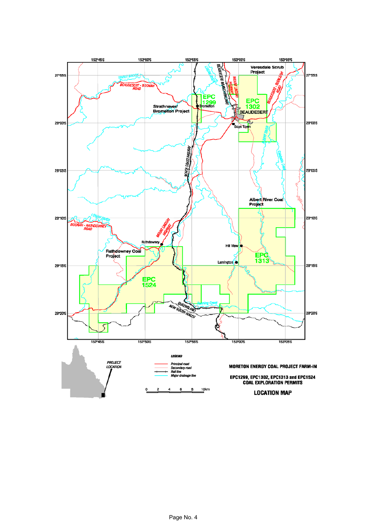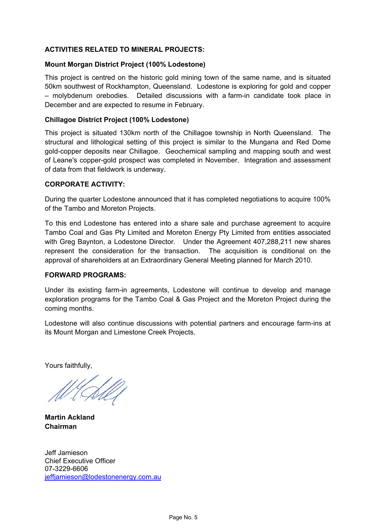# **ACTIVITIES RELATED TO MINERAL PROJECTS:**

## **Mount Morgan District Project (100% Lodestone)**

This project is centred on the historic gold mining town of the same name, and is situated 50km southwest of Rockhampton, Queensland. Lodestone is exploring for gold and copper – molybdenum orebodies. Detailed discussions with a farm-in candidate took place in December and are expected to resume in February.

## **Chillagoe District Project (100% Lodestone)**

This project is situated 130km north of the Chillagoe township in North Queensland. The structural and lithological setting of this project is similar to the Mungana and Red Dome gold-copper deposits near Chillagoe. Geochemical sampling and mapping south and west of Leane's copper-gold prospect was completed in November. Integration and assessment of data from that fieldwork is underway.

### **CORPORATE ACTIVITY:**

During the quarter Lodestone announced that it has completed negotiations to acquire 100% of the Tambo and Moreton Projects.

To this end Lodestone has entered into a share sale and purchase agreement to acquire Tambo Coal and Gas Pty Limited and Moreton Energy Pty Limited from entities associated with Greg Baynton, a Lodestone Director. Under the Agreement 407,288,211 new shares represent the consideration for the transaction. The acquisition is conditional on the approval of shareholders at an Extraordinary General Meeting planned for March 2010.

#### **FORWARD PROGRAMS:**

Under its existing farm-in agreements, Lodestone will continue to develop and manage exploration programs for the Tambo Coal & Gas Project and the Moreton Project during the coming months.

Lodestone will also continue discussions with potential partners and encourage farm-ins at its Mount Morgan and Limestone Creek Projects.

Yours faithfully,

**Martin Ackland Chairman** 

Jeff Jamieson Chief Executive Officer 07-3229-6606 jeffjamieson@lodestonenergy.com.au